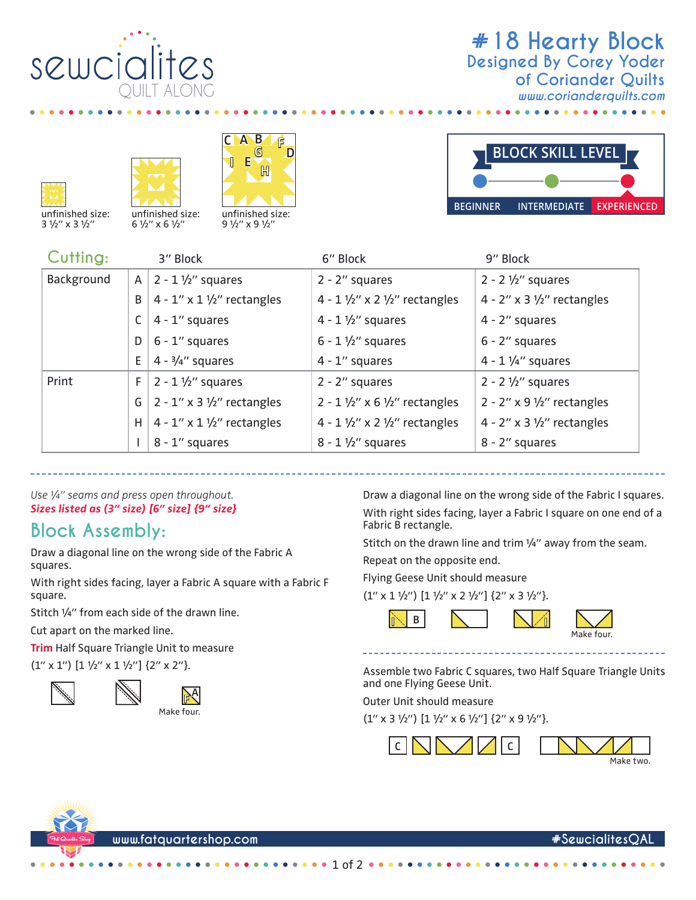

## **#18 Hearty Block** *www.corianderquilts.com* **Designed By Corey Yoder of Coriander Quilts**







3 1/2" x 3 1/2"



| Cutting:   |    | 3" Block                                    | 6" Block                                            | 9" Block                      |
|------------|----|---------------------------------------------|-----------------------------------------------------|-------------------------------|
| Background | A  | $2 - 1 \frac{1}{2}$ squares                 | $2 - 2$ " squares                                   | $2 - 2 \frac{1}{2}$ squares   |
|            | B  | $4 - 1'' \times 1 \frac{1}{2}$ rectangles   | 4 - $1\frac{1}{2}$ " x 2 $\frac{1}{2}$ " rectangles | 4 - 2" x 3 $1/2$ " rectangles |
|            | C  | 4 - 1" squares                              | $4 - 1\frac{1}{2}$ squares                          | 4 - 2" squares                |
|            | D  | $6 - 1$ " squares                           | $6 - 1\frac{1}{2}$ squares                          | $6 - 2$ " squares             |
|            | E. | $4 - \frac{3}{4}$ " squares                 | $4 - 1$ " squares                                   | $4 - 1$ 1/4" squares          |
| Print      | F. | $2 - 1 \frac{1}{2}$ squares                 | $2 - 2$ " squares                                   | $2 - 2 \frac{1}{2}$ squares   |
|            | G  | $2 - 1''$ x 3 $1/2''$ rectangles            | $2 - 1 \frac{1}{2}$ x 6 $\frac{1}{2}$ rectangles    | 2 - 2" x 9 $1/2$ " rectangles |
|            | H  | $4 - 1'' \times 1 \frac{1}{2}''$ rectangles | 4 - 1 $1/2$ " x 2 $1/2$ " rectangles                | 4 - 2" x 3 $1/2$ " rectangles |
|            |    | 8 - 1" squares                              | $8 - 1 \frac{1}{2}$ squares                         | 8 - 2" squares                |

1 of 2

*Use ¼" seams and press open throughout. Sizes listed as (3" size) [6" size] {9" size}*

## **Block Assembly:**

Draw a diagonal line on the wrong side of the Fabric A squares.

With right sides facing, layer a Fabric A square with a Fabric F square.

Stitch ¼" from each side of the drawn line.

Cut apart on the marked line.

**Trim** Half Square Triangle Unit to measure

 $(1'' \times 1'')$   $[1 \frac{1}{2}'' \times 1 \frac{1}{2}'']$   $\{2'' \times 2''\}$ .





Draw a diagonal line on the wrong side of the Fabric I squares. With right sides facing, layer a Fabric I square on one end of a Fabric B rectangle.

Stitch on the drawn line and trim 1/4" away from the seam.

Repeat on the opposite end.

Flying Geese Unit should measure

 $(1'' \times 1 \frac{1}{2}'')$   $[1 \frac{1}{2}'' \times 2 \frac{1}{2}'']$   $\{2'' \times 3 \frac{1}{2}''\}$ .



Assemble two Fabric C squares, two Half Square Triangle Units and one Flying Geese Unit.

Outer Unit should measure

 $(1'' \times 3 \frac{1}{2}'') [1 \frac{1}{2}'' \times 6 \frac{1}{2}''] \{2'' \times 9 \frac{1}{2}''\}.$ 







**www.fatquartershop.com #SewcialitesQAL**